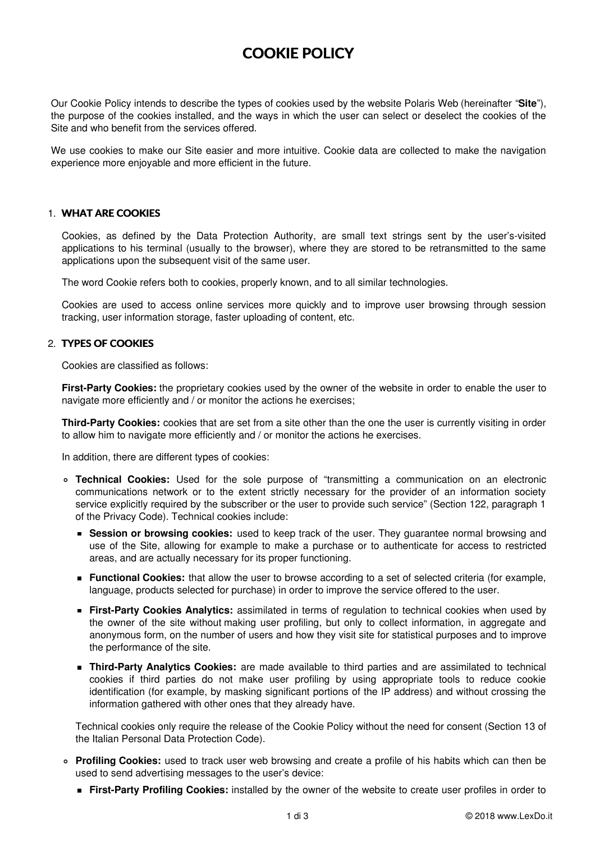# **COOKIE POLICY**

Our Cookie Policy intends to describe the types of cookies used by the website Polaris Web (hereinafter "**Site**"), the purpose of the cookies installed, and the ways in which the user can select or deselect the cookies of the Site and who benefit from the services offered.

We use cookies to make our Site easier and more intuitive. Cookie data are collected to make the navigation experience more enjoyable and more efficient in the future.

### 1. **WHAT ARE COOKIES**

Cookies, as defined by the Data Protection Authority, are small text strings sent by the user's-visited applications to his terminal (usually to the browser), where they are stored to be retransmitted to the same applications upon the subsequent visit of the same user.

The word Cookie refers both to cookies, properly known, and to all similar technologies.

Cookies are used to access online services more quickly and to improve user browsing through session tracking, user information storage, faster uploading of content, etc.

### 2. **TYPES OF COOKIES**

Cookies are classified as follows:

**First-Party Cookies:** the proprietary cookies used by the owner of the website in order to enable the user to navigate more efficiently and / or monitor the actions he exercises;

**Third-Party Cookies:** cookies that are set from a site other than the one the user is currently visiting in order to allow him to navigate more efficiently and / or monitor the actions he exercises.

In addition, there are different types of cookies:

- **Technical Cookies:** Used for the sole purpose of "transmitting a communication on an electronic communications network or to the extent strictly necessary for the provider of an information society service explicitly required by the subscriber or the user to provide such service" (Section 122, paragraph 1 of the Privacy Code). Technical cookies include:
	- **Session or browsing cookies:** used to keep track of the user. They guarantee normal browsing and use of the Site, allowing for example to make a purchase or to authenticate for access to restricted areas, and are actually necessary for its proper functioning.
	- **Functional Cookies:** that allow the user to browse according to a set of selected criteria (for example, language, products selected for purchase) in order to improve the service offered to the user.
	- **First-Party Cookies Analytics:** assimilated in terms of regulation to technical cookies when used by the owner of the site without making user profiling, but only to collect information, in aggregate and anonymous form, on the number of users and how they visit site for statistical purposes and to improve the performance of the site.
	- **Third-Party Analytics Cookies:** are made available to third parties and are assimilated to technical cookies if third parties do not make user profiling by using appropriate tools to reduce cookie identification (for example, by masking significant portions of the IP address) and without crossing the information gathered with other ones that they already have.

Technical cookies only require the release of the Cookie Policy without the need for consent (Section 13 of the Italian Personal Data Protection Code).

- **Profiling Cookies:** used to track user web browsing and create a profile of his habits which can then be used to send advertising messages to the user's device:
	- **First-Party Profiling Cookies:** installed by the owner of the website to create user profiles in order to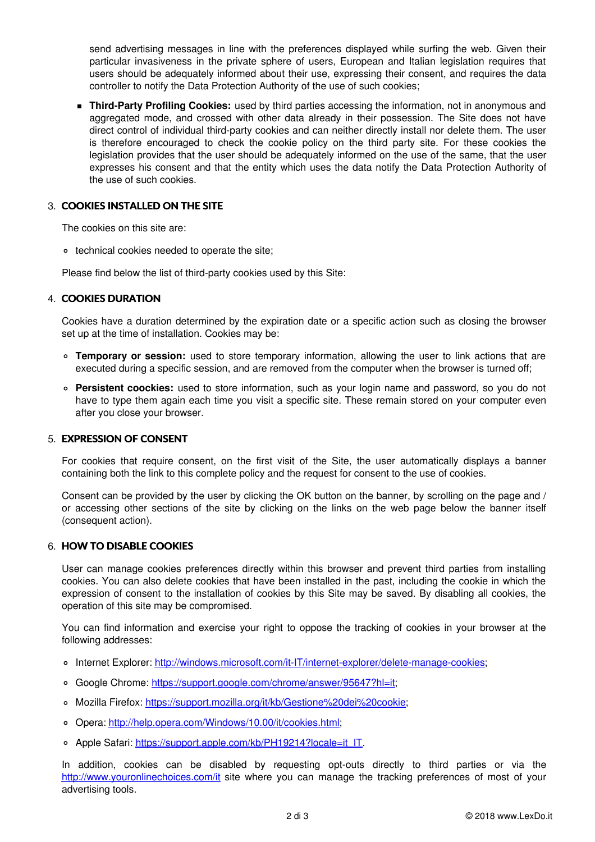send advertising messages in line with the preferences displayed while surfing the web. Given their particular invasiveness in the private sphere of users, European and Italian legislation requires that users should be adequately informed about their use, expressing their consent, and requires the data controller to notify the Data Protection Authority of the use of such cookies;

**Third-Party Profiling Cookies:** used by third parties accessing the information, not in anonymous and aggregated mode, and crossed with other data already in their possession. The Site does not have direct control of individual third-party cookies and can neither directly install nor delete them. The user is therefore encouraged to check the cookie policy on the third party site. For these cookies the legislation provides that the user should be adequately informed on the use of the same, that the user expresses his consent and that the entity which uses the data notify the Data Protection Authority of the use of such cookies.

## 3. **COOKIES INSTALLED ON THE SITE**

The cookies on this site are:

technical cookies needed to operate the site;

Please find below the list of third-party cookies used by this Site:

### 4. **COOKIES DURATION**

Cookies have a duration determined by the expiration date or a specific action such as closing the browser set up at the time of installation. Cookies may be:

- **Temporary or session:** used to store temporary information, allowing the user to link actions that are executed during a specific session, and are removed from the computer when the browser is turned off;
- **Persistent coockies:** used to store information, such as your login name and password, so you do not have to type them again each time you visit a specific site. These remain stored on your computer even after you close your browser.

#### 5. **EXPRESSION OF CONSENT**

For cookies that require consent, on the first visit of the Site, the user automatically displays a banner containing both the link to this complete policy and the request for consent to the use of cookies.

Consent can be provided by the user by clicking the OK button on the banner, by scrolling on the page and / or accessing other sections of the site by clicking on the links on the web page below the banner itself (consequent action).

#### 6. **HOW TO DISABLE COOKIES**

User can manage cookies preferences directly within this browser and prevent third parties from installing cookies. You can also delete cookies that have been installed in the past, including the cookie in which the expression of consent to the installation of cookies by this Site may be saved. By disabling all cookies, the operation of this site may be compromised.

You can find information and exercise your right to oppose the tracking of cookies in your browser at the following addresses:

- Internet Explorer: <http://windows.microsoft.com/it-IT/internet-explorer/delete-manage-cookies>;
- Google Chrome: <https://support.google.com/chrome/answer/95647?hl=it>;
- o Mozilla Firefox: [https://support.mozilla.org/it/kb/Gestione%20dei%20cookie](https://support.mozilla.org/it/kb/Gestione dei cookie);
- Opera: <http://help.opera.com/Windows/10.00/it/cookies.html>;
- o Apple Safari: [https://support.apple.com/kb/PH19214?locale=it\\_IT](https://support.apple.com/kb/PH19214?locale=it_IT).

In addition, cookies can be disabled by requesting opt-outs directly to third parties or via the <http://www.youronlinechoices.com/it> site where you can manage the tracking preferences of most of your advertising tools.